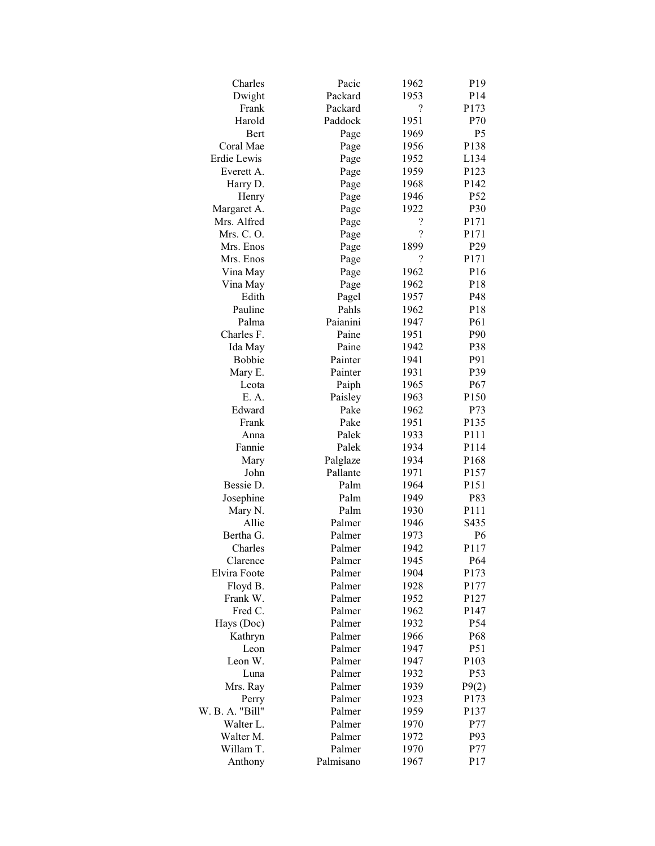| Charles         | Pacic     | 1962                     | P <sub>19</sub> |
|-----------------|-----------|--------------------------|-----------------|
| Dwight          | Packard   | 1953                     | P <sub>14</sub> |
| Frank           | Packard   | $\gamma$                 | P173            |
| Harold          | Paddock   | 1951                     | P70             |
| Bert            | Page      | 1969                     | P <sub>5</sub>  |
| Coral Mae       | Page      | 1956                     | P138            |
| Erdie Lewis     | Page      | 1952                     | L134            |
| Everett A.      | Page      | 1959                     | P123            |
| Harry D.        | Page      | 1968                     | P142            |
| Henry           | Page      | 1946                     | P52             |
| Margaret A.     | Page      | 1922                     | P30             |
| Mrs. Alfred     | Page      | ?                        | P171            |
| Mrs. C.O.       | Page      | $\overline{\mathcal{L}}$ | P171            |
| Mrs. Enos       | Page      | 1899                     | P <sub>29</sub> |
| Mrs. Enos       | Page      | $\overline{\mathcal{L}}$ | P171            |
| Vina May        | Page      | 1962                     | P16             |
| Vina May        | Page      | 1962                     | P18             |
| Edith           | Pagel     | 1957                     | P48             |
| Pauline         | Pahls     | 1962                     | P18             |
| Palma           | Paianini  | 1947                     | P61             |
| Charles F.      | Paine     | 1951                     | P90             |
|                 | Paine     |                          |                 |
| Ida May         |           | 1942                     | P38             |
| <b>Bobbie</b>   | Painter   | 1941                     | P91             |
| Mary E.         | Painter   | 1931                     | P39             |
| Leota           | Paiph     | 1965                     | P <sub>67</sub> |
| E. A.           | Paisley   | 1963                     | P150            |
| Edward          | Pake      | 1962                     | P73             |
| Frank           | Pake      | 1951                     | P135            |
| Anna            | Palek     | 1933                     | P111            |
| Fannie          | Palek     | 1934                     | P114            |
| Mary            | Palglaze  | 1934                     | P168            |
| John            | Pallante  | 1971                     | P157            |
| Bessie D.       | Palm      | 1964                     | P151            |
| Josephine       | Palm      | 1949                     | P83             |
| Mary N.         | Palm      | 1930                     | P111            |
| Allie           | Palmer    | 1946                     | S435            |
| Bertha G.       | Palmer    | 1973                     | P <sub>6</sub>  |
| Charles         | Palmer    | 1942                     | P117            |
| Clarence        | Palmer    | 1945                     | P64             |
| Elvira Foote    | Palmer    | 1904                     | P173            |
| Floyd B.        | Palmer    | 1928                     | P177            |
| Frank W.        | Palmer    | 1952                     | P127            |
| Fred C.         | Palmer    | 1962                     | P147            |
| Hays (Doc)      | Palmer    | 1932                     | P54             |
| Kathryn         | Palmer    | 1966                     | P68             |
| Leon            | Palmer    | 1947                     | P51             |
| Leon W.         | Palmer    | 1947                     | P103            |
| Luna            | Palmer    | 1932                     | P53             |
| Mrs. Ray        | Palmer    | 1939                     | P9(2)           |
| Perry           | Palmer    | 1923                     | P173            |
| W. B. A. "Bill" | Palmer    | 1959                     | P137            |
| Walter L.       | Palmer    | 1970                     | P77             |
| Walter M.       | Palmer    | 1972                     | P93             |
| Willam T.       | Palmer    | 1970                     | P77             |
| Anthony         | Palmisano | 1967                     | P17             |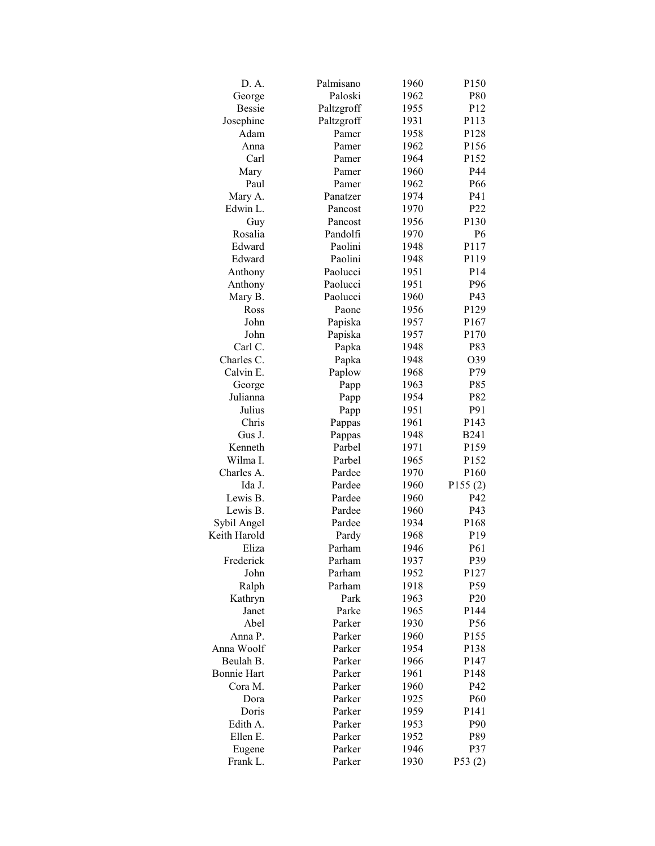| D. A.              | Palmisano        | 1960         | P150                        |
|--------------------|------------------|--------------|-----------------------------|
| George             | Paloski          | 1962         | P80                         |
| <b>Bessie</b>      | Paltzgroff       | 1955         | P12                         |
| Josephine          | Paltzgroff       | 1931         | P113                        |
| Adam               | Pamer            | 1958         | P128                        |
| Anna               | Pamer            | 1962         | P156                        |
| Carl               | Pamer            | 1964         | P152                        |
| Mary               | Pamer            | 1960         | P44                         |
| Paul               | Pamer            | 1962         | P66                         |
| Mary A.            | Panatzer         | 1974         | P41                         |
| Edwin L.           | Pancost          | 1970         | P22                         |
| Guy                | Pancost          | 1956         | P130                        |
| Rosalia            | Pandolfi         | 1970         | P <sub>6</sub>              |
| Edward             | Paolini          | 1948         | P117                        |
| Edward             | Paolini          | 1948         | P119                        |
| Anthony            | Paolucci         | 1951         | P <sub>14</sub>             |
| Anthony            | Paolucci         | 1951         | P96                         |
| Mary B.            | Paolucci         | 1960         | P43                         |
| Ross               | Paone            | 1956         | P129                        |
| John               | Papiska          | 1957         | P167                        |
| John               | Papiska          | 1957         | P170                        |
| Carl C.            | Papka            | 1948         | P83                         |
| Charles C.         | Papka            | 1948         | O39                         |
| Calvin E.          | Paplow           | 1968         | P79                         |
| George             |                  | 1963         | P85                         |
| Julianna           | Papp             | 1954         | P82                         |
| Julius             | Papp             | 1951         | P91                         |
| Chris              | Papp             | 1961         | P143                        |
| Gus J.             | Pappas           |              | <b>B241</b>                 |
| Kenneth            | Pappas<br>Parbel | 1948<br>1971 | P159                        |
| Wilma I.           | Parbel           | 1965         |                             |
|                    |                  |              | P152                        |
| Charles A.         | Pardee           | 1970<br>1960 | P <sub>160</sub><br>P155(2) |
| Ida J.             | Pardee           |              |                             |
| Lewis B.           | Pardee           | 1960         | P42                         |
| Lewis B.           | Pardee           | 1960         | P43                         |
| Sybil Angel        | Pardee           | 1934         | P168                        |
| Keith Harold       | Pardy            | 1968         | P <sub>19</sub>             |
| Eliza              | Parham           | 1946         | P61                         |
| Frederick          | Parham           | 1937         | P39                         |
| John               | Parham           | 1952         | P127                        |
| Ralph              | Parham           | 1918         | P59                         |
| Kathryn            | Park             | 1963         | P <sub>20</sub>             |
| Janet              | Parke            | 1965         | P144                        |
| Abel               | Parker           | 1930         | P56                         |
| Anna P.            | Parker           | 1960         | P155                        |
| Anna Woolf         | Parker           | 1954         | P138                        |
| Beulah B.          | Parker           | 1966         | P147                        |
| <b>Bonnie Hart</b> | Parker           | 1961         | P148                        |
| Cora M.            | Parker           | 1960         | P42                         |
| Dora               | Parker           | 1925         | P <sub>60</sub>             |
| Doris              | Parker           | 1959         | P <sub>141</sub>            |
| Edith A.           | Parker           | 1953         | P90                         |
| Ellen E.           | Parker           | 1952         | P89                         |
| Eugene             | Parker           | 1946         | P37                         |
| Frank L.           | Parker           | 1930         | P53(2)                      |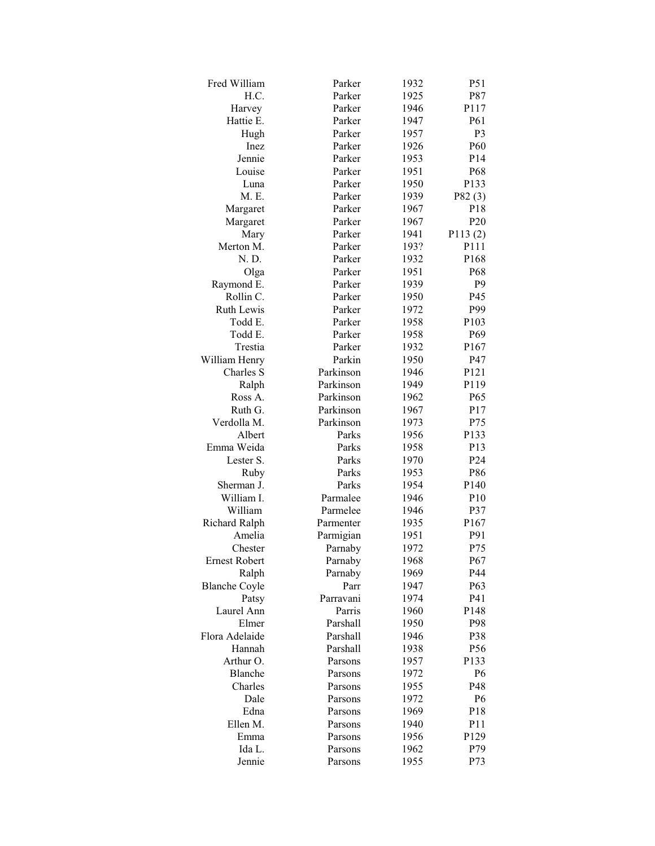| Fred William         | Parker    | 1932 | P51              |
|----------------------|-----------|------|------------------|
| H.C.                 | Parker    | 1925 | P87              |
| Harvey               | Parker    | 1946 | P117             |
| Hattie E.            | Parker    | 1947 | P61              |
| Hugh                 | Parker    | 1957 | P <sub>3</sub>   |
| Inez                 | Parker    | 1926 | P <sub>60</sub>  |
| Jennie               | Parker    | 1953 | P <sub>14</sub>  |
| Louise               | Parker    | 1951 | P68              |
| Luna                 | Parker    | 1950 | P133             |
| M. E.                | Parker    | 1939 | P82(3)           |
| Margaret             | Parker    | 1967 | P18              |
| Margaret             | Parker    | 1967 | P <sub>20</sub>  |
| Mary                 | Parker    | 1941 | P113(2)          |
| Merton M.            | Parker    | 193? | P111             |
| N. D.                | Parker    | 1932 | P168             |
| Olga                 | Parker    | 1951 | P <sub>68</sub>  |
| Raymond E.           | Parker    | 1939 | P9               |
| Rollin C.            | Parker    | 1950 | P45              |
| <b>Ruth Lewis</b>    | Parker    | 1972 | P99              |
| Todd E.              | Parker    | 1958 | P103             |
| Todd E.              | Parker    | 1958 | P69              |
| Trestia              | Parker    | 1932 | P167             |
| William Henry        | Parkin    | 1950 | P47              |
| Charles S            | Parkinson | 1946 | P121             |
| Ralph                | Parkinson | 1949 | P119             |
| Ross A.              | Parkinson | 1962 | P65              |
| Ruth G.              | Parkinson | 1967 | P17              |
| Verdolla M.          | Parkinson | 1973 | P75              |
| Albert               | Parks     | 1956 | P133             |
| Emma Weida           | Parks     | 1958 | P <sub>13</sub>  |
| Lester S.            | Parks     | 1970 | P24              |
| Ruby                 | Parks     | 1953 | P86              |
| Sherman J.           | Parks     | 1954 | P <sub>140</sub> |
| William I.           | Parmalee  | 1946 | P <sub>10</sub>  |
| William              | Parmelee  | 1946 | P37              |
| Richard Ralph        | Parmenter | 1935 | P <sub>167</sub> |
| Amelia               | Parmigian | 1951 | P91              |
| Chester              | Parnaby   | 1972 | P75              |
| <b>Ernest Robert</b> | Parnaby   | 1968 | P67              |
| Ralph                | Parnaby   | 1969 | P44              |
| <b>Blanche Coyle</b> | Parr      | 1947 | P63              |
| Patsy                | Parravani | 1974 | P41              |
| Laurel Ann           | Parris    | 1960 | P148             |
| Elmer                | Parshall  | 1950 | P98              |
| Flora Adelaide       | Parshall  | 1946 | P38              |
| Hannah               | Parshall  | 1938 | P56              |
| Arthur O.            | Parsons   | 1957 | P133             |
| Blanche              | Parsons   | 1972 | P <sub>6</sub>   |
| Charles              | Parsons   | 1955 | P48              |
| Dale                 | Parsons   | 1972 | P6               |
| Edna                 | Parsons   | 1969 | P <sub>18</sub>  |
| Ellen M.             | Parsons   | 1940 | P11              |
| Emma                 | Parsons   | 1956 | P129             |
| Ida L.               | Parsons   | 1962 | P79              |
| Jennie               | Parsons   | 1955 | P73              |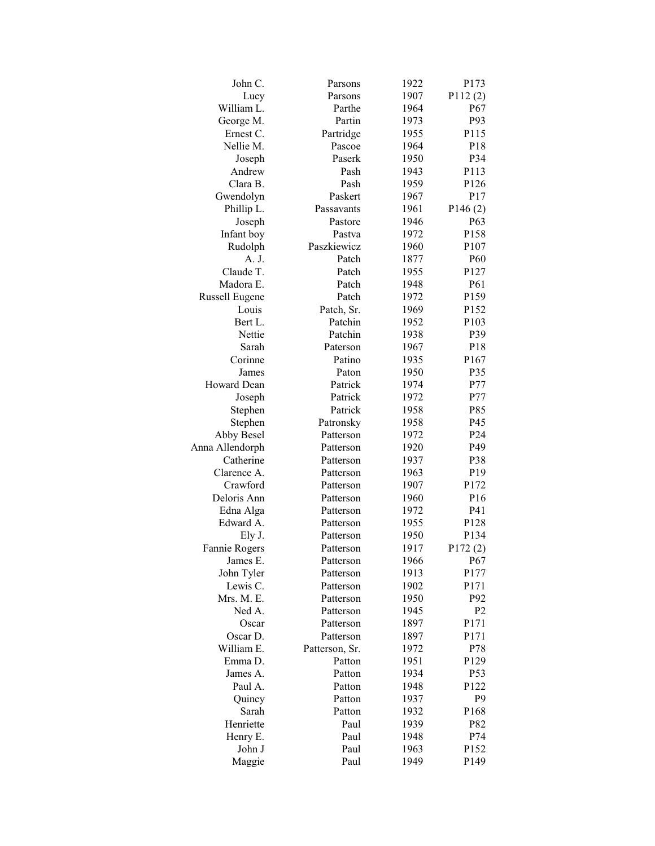| John C.                      | Parsons                | 1922 | P173             |
|------------------------------|------------------------|------|------------------|
| Lucy                         | Parsons                | 1907 | P112(2)          |
| William L.                   | Parthe                 | 1964 | P67              |
| George M.                    | Partin                 | 1973 | P93              |
| Ernest C.                    | Partridge              | 1955 | P115             |
| Nellie M.                    | Pascoe                 | 1964 | P <sub>18</sub>  |
| Joseph                       | Paserk                 | 1950 | P34              |
| Andrew                       | Pash                   | 1943 | P113             |
| Clara B.                     | Pash                   | 1959 | P126             |
| Gwendolyn                    | Paskert                | 1967 | P17              |
| Phillip L.                   | Passavants             | 1961 | P146(2)          |
| Joseph                       | Pastore                | 1946 | P <sub>63</sub>  |
| Infant boy                   | Pastva                 | 1972 | P158             |
| Rudolph                      | Paszkiewicz            | 1960 | P107             |
| A. J.                        | Patch                  | 1877 | P <sub>60</sub>  |
| Claude T.                    | Patch                  | 1955 | P127             |
| Madora E.                    | Patch                  | 1948 | P61              |
| <b>Russell Eugene</b>        | Patch                  | 1972 | P159             |
| Louis                        | Patch, Sr.             | 1969 | P152             |
| Bert L.                      | Patchin                | 1952 | P103             |
| Nettie                       | Patchin                | 1938 | P39              |
| Sarah                        | Paterson               | 1967 | P18              |
| Corinne                      | Patino                 | 1935 | P167             |
| James                        | Paton                  | 1950 | P35              |
| Howard Dean                  | Patrick                | 1974 | P77              |
|                              | Patrick                | 1972 | P77              |
| Joseph<br>Stephen            | Patrick                | 1958 | P85              |
|                              |                        | 1958 | P45              |
| Stephen                      | Patronsky<br>Patterson | 1972 | P <sub>24</sub>  |
| Abby Besel                   |                        |      |                  |
| Anna Allendorph<br>Catherine | Patterson              | 1920 | P49              |
|                              | Patterson              | 1937 | P38              |
| Clarence A.                  | Patterson              | 1963 | P <sub>19</sub>  |
| Crawford                     | Patterson              | 1907 | P172             |
| Deloris Ann                  | Patterson              | 1960 | P <sub>16</sub>  |
| Edna Alga                    | Patterson              | 1972 | P41              |
| Edward A.                    | Patterson              | 1955 | P128             |
| Ely J.                       | Patterson              | 1950 | P <sub>134</sub> |
| Fannie Rogers                | Patterson              | 1917 | P172(2)          |
| James E.                     | Patterson              | 1966 | P67              |
| John Tyler                   | Patterson              | 1913 | P177             |
| Lewis C.                     | Patterson              | 1902 | P171             |
| Mrs. M. E.                   | Patterson              | 1950 | P92              |
| Ned A.                       | Patterson              | 1945 | P <sub>2</sub>   |
| Oscar                        | Patterson              | 1897 | P171             |
| Oscar D.                     | Patterson              | 1897 | P171             |
| William E.                   | Patterson, Sr.         | 1972 | P78              |
| Emma D.                      | Patton                 | 1951 | P129             |
| James A.                     | Patton                 | 1934 | P53              |
| Paul A.                      | Patton                 | 1948 | P122             |
| Quincy                       | Patton                 | 1937 | P <sub>9</sub>   |
| Sarah                        | Patton                 | 1932 | P168             |
| Henriette                    | Paul                   | 1939 | P82              |
| Henry E.                     | Paul                   | 1948 | P74              |
| John J                       | Paul                   | 1963 | P152             |
| Maggie                       | Paul                   | 1949 | P149             |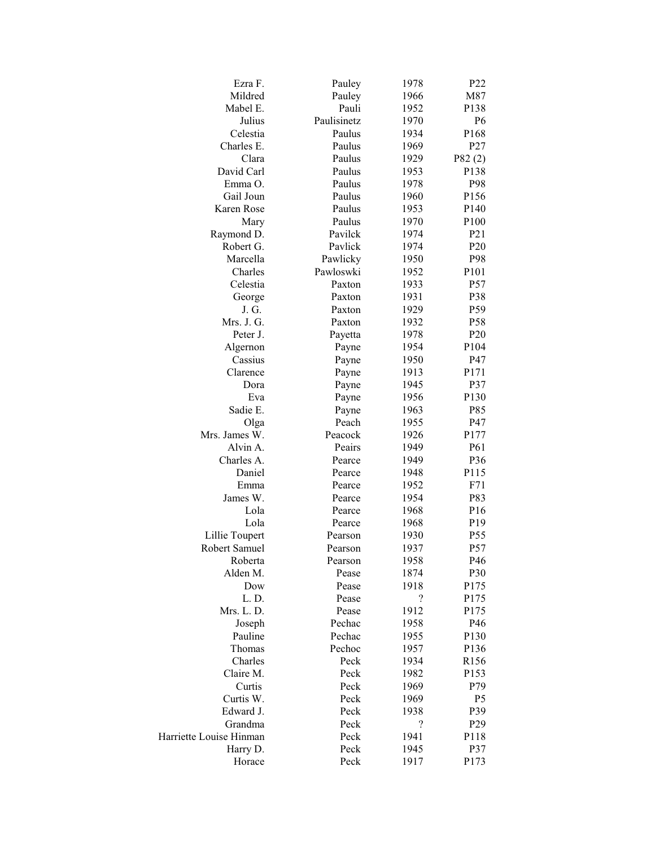| Ezra F.                 | Pauley      | 1978       | P <sub>22</sub>  |
|-------------------------|-------------|------------|------------------|
| Mildred                 | Pauley      | 1966       | M87              |
| Mabel E.                | Pauli       | 1952       | P138             |
| Julius                  | Paulisinetz | 1970       | P <sub>6</sub>   |
| Celestia                | Paulus      | 1934       | P <sub>168</sub> |
| Charles E.              | Paulus      | 1969       | P <sub>27</sub>  |
| Clara                   | Paulus      | 1929       | P82(2)           |
| David Carl              | Paulus      | 1953       | P138             |
| Emma O.                 | Paulus      | 1978       | P98              |
| Gail Joun               | Paulus      | 1960       | P156             |
| Karen Rose              | Paulus      | 1953       | P <sub>140</sub> |
| Mary                    | Paulus      | 1970       | P <sub>100</sub> |
| Raymond D.              | Pavilck     | 1974       | P <sub>21</sub>  |
| Robert G.               | Pavlick     | 1974       | P <sub>20</sub>  |
| Marcella                | Pawlicky    | 1950       | P98              |
| Charles                 | Pawloswki   | 1952       | P101             |
| Celestia                | Paxton      | 1933       | P <sub>57</sub>  |
| George                  | Paxton      | 1931       | P38              |
| J. G.                   | Paxton      | 1929       | P59              |
| Mrs. J. G.              | Paxton      | 1932       | P58              |
| Peter J.                | Payetta     | 1978       | P <sub>20</sub>  |
| Algernon                | Payne       | 1954       | P104             |
| Cassius                 | Payne       | 1950       | P47              |
| Clarence                | Payne       | 1913       | P171             |
| Dora                    | Payne       | 1945       | P37              |
| Eva                     | Payne       | 1956       | P130             |
| Sadie E.                | Payne       | 1963       | P85              |
| Olga                    | Peach       | 1955       | P47              |
| Mrs. James W.           | Peacock     | 1926       | P177             |
| Alvin A.                | Peairs      | 1949       | P61              |
| Charles A.              | Pearce      | 1949       | P36              |
| Daniel                  | Pearce      | 1948       | P115             |
| Emma                    | Pearce      | 1952       | F71              |
| James W.                | Pearce      | 1954       | P83              |
| Lola                    | Pearce      | 1968       | P <sub>16</sub>  |
| Lola                    | Pearce      | 1968       | P19              |
| Lillie Toupert          | Pearson     | 1930       | P <sub>55</sub>  |
| Robert Samuel           | Pearson     | 1937       | P <sub>57</sub>  |
| Roberta                 | Pearson     | 1958       | P46              |
| Alden M.                | Pease       | 1874       | P30              |
| Dow                     | Pease       | 1918       | P175             |
| L.D.                    | Pease       | $\ddot{?}$ | P175             |
| Mrs. L. D.              | Pease       | 1912       | P175             |
| Joseph                  | Pechac      | 1958       | P46              |
| Pauline                 | Pechac      | 1955       | P130             |
| Thomas                  | Pechoc      | 1957       | P136             |
| Charles                 | Peck        | 1934       | R156             |
| Claire M.               | Peck        | 1982       | P153             |
| Curtis                  | Peck        | 1969       | P79              |
| Curtis W.               | Peck        | 1969       | P <sub>5</sub>   |
| Edward J.               | Peck        | 1938       | P39              |
| Grandma                 | Peck        | $\ddot{?}$ | P <sub>29</sub>  |
| Harriette Louise Hinman | Peck        | 1941       | P118             |
| Harry D.                | Peck        | 1945       | P37              |
| Horace                  | Peck        | 1917       | P173             |
|                         |             |            |                  |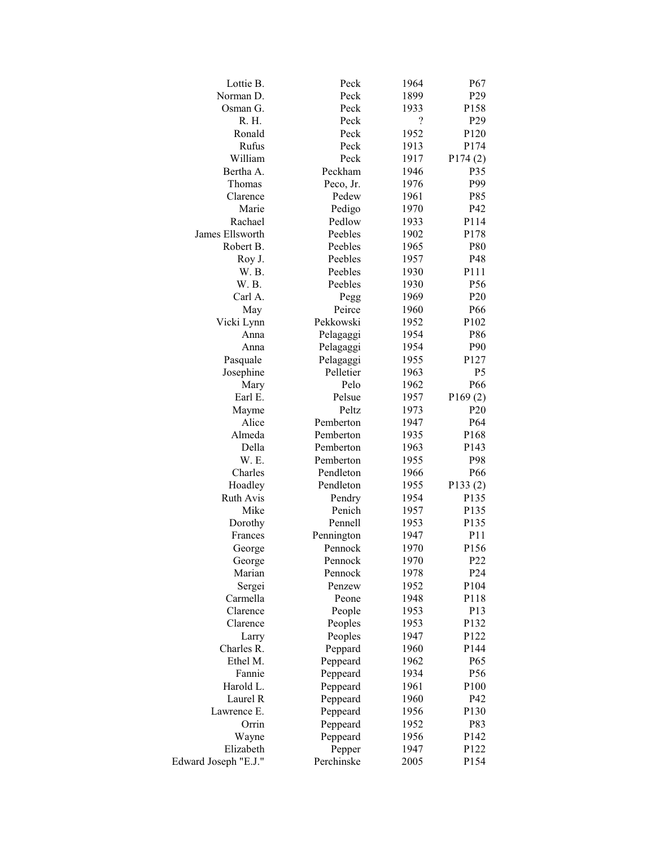| Lottie B.            | Peck       | 1964     | P67              |
|----------------------|------------|----------|------------------|
| Norman D.            | Peck       | 1899     | P <sub>29</sub>  |
| Osman G.             | Peck       | 1933     | P158             |
| R. H.                | Peck       | $\gamma$ | P <sub>29</sub>  |
| Ronald               | Peck       | 1952     | P <sub>120</sub> |
| Rufus                | Peck       | 1913     | P174             |
| William              | Peck       | 1917     | P174(2)          |
| Bertha A.            | Peckham    | 1946     | P35              |
| Thomas               | Peco, Jr.  | 1976     | P99              |
| Clarence             | Pedew      | 1961     | P85              |
| Marie                | Pedigo     | 1970     | P42              |
| Rachael              | Pedlow     | 1933     | P114             |
| James Ellsworth      | Peebles    | 1902     | P178             |
| Robert B.            | Peebles    | 1965     | P80              |
| Roy J.               | Peebles    | 1957     | P48              |
| W. B.                | Peebles    | 1930     | P111             |
| W.B.                 | Peebles    | 1930     | P <sub>56</sub>  |
| Carl A.              | Pegg       | 1969     | P <sub>20</sub>  |
| May                  | Peirce     | 1960     | P66              |
| Vicki Lynn           | Pekkowski  | 1952     | P102             |
| Anna                 | Pelagaggi  | 1954     | P86              |
| Anna                 | Pelagaggi  | 1954     | P90              |
| Pasquale             | Pelagaggi  | 1955     | P127             |
| Josephine            | Pelletier  | 1963     | P <sub>5</sub>   |
| Mary                 | Pelo       | 1962     | P66              |
| Earl E.              | Pelsue     | 1957     | P169(2)          |
| Mayme                | Peltz      | 1973     | P <sub>20</sub>  |
| Alice                | Pemberton  | 1947     | P <sub>64</sub>  |
| Almeda               | Pemberton  | 1935     | P <sub>168</sub> |
| Della                | Pemberton  | 1963     | P <sub>143</sub> |
| W. E.                | Pemberton  | 1955     | P98              |
| Charles              | Pendleton  | 1966     | P <sub>66</sub>  |
| Hoadley              | Pendleton  | 1955     | P133(2)          |
| <b>Ruth Avis</b>     | Pendry     | 1954     | P135             |
| Mike                 | Penich     | 1957     | P135             |
| Dorothy              | Pennell    | 1953     | P135             |
| Frances              | Pennington | 1947     | P11              |
| George               | Pennock    | 1970     | P156             |
| George               | Pennock    | 1970     | P22              |
| Marian               | Pennock    | 1978     | P <sub>24</sub>  |
| Sergei               | Penzew     | 1952     | P104             |
| Carmella             | Peone      | 1948     | P118             |
| Clarence             | People     | 1953     | P13              |
| Clarence             | Peoples    | 1953     | P132             |
| Larry                | Peoples    | 1947     | P122             |
| Charles R.           | Peppard    | 1960     | P144             |
| Ethel M.             | Peppeard   | 1962     | P65              |
| Fannie               | Peppeard   | 1934     | P56              |
| Harold L.            | Peppeard   | 1961     | P100             |
| Laurel R             | Peppeard   | 1960     | P42              |
| Lawrence E.          | Peppeard   | 1956     | P130             |
| Orrin                | Peppeard   | 1952     | P83              |
| Wayne                | Peppeard   | 1956     | P142             |
| Elizabeth            | Pepper     | 1947     | P122             |
| Edward Joseph "E.J." | Perchinske | 2005     | P154             |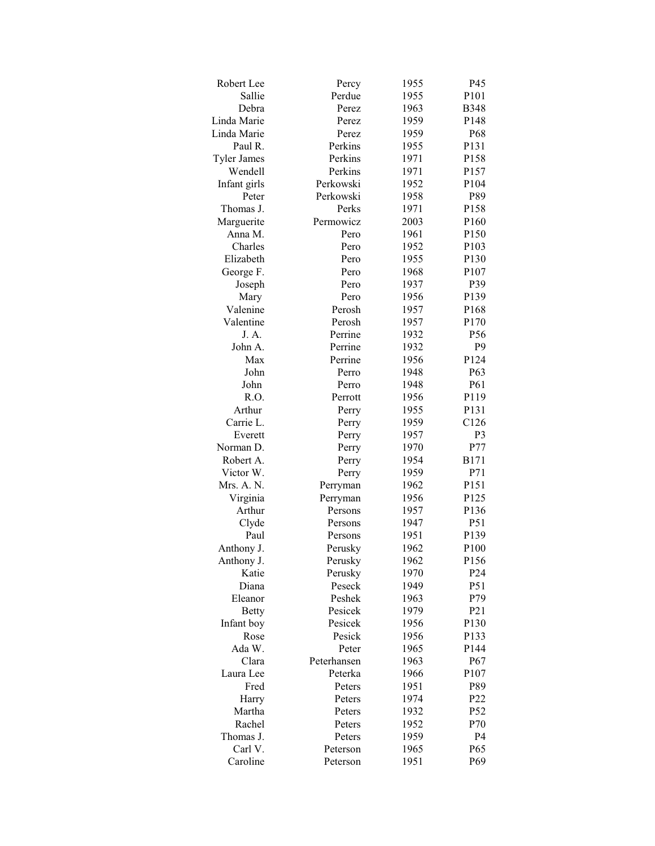| Robert Lee         | Percy          | 1955 | P45             |
|--------------------|----------------|------|-----------------|
| Sallie             | Perdue         | 1955 | P101            |
| Debra              | Perez          | 1963 | <b>B348</b>     |
| Linda Marie        | Perez          | 1959 | P148            |
| Linda Marie        | Perez          | 1959 | P68             |
| Paul R.            | Perkins        | 1955 | P131            |
| <b>Tyler James</b> | Perkins        | 1971 | P158            |
| Wendell            | Perkins        | 1971 | P157            |
| Infant girls       | Perkowski      | 1952 | P104            |
| Peter              | Perkowski      | 1958 | P89             |
| Thomas J.          | Perks          | 1971 | P158            |
| Marguerite         | Permowicz      | 2003 | P160            |
| Anna M.            | Pero           | 1961 | P150            |
| Charles            | Pero           | 1952 | P103            |
| Elizabeth          | Pero           | 1955 | P130            |
| George F.          | Pero           | 1968 | P107            |
| Joseph             | Pero           | 1937 | P39             |
| Mary               | Pero           | 1956 | P139            |
| Valenine           | Perosh         | 1957 | P168            |
| Valentine          | Perosh         | 1957 | P170            |
| J. A.              | Perrine        | 1932 | P56             |
| John A.            | Perrine        | 1932 | P <sub>9</sub>  |
| Max                | Perrine        | 1956 | P124            |
| John               | Perro          | 1948 | P63             |
| John               | Perro          | 1948 | P61             |
| R.O.               | Perrott        | 1956 | P119            |
| Arthur             | Perry          | 1955 | P131            |
| Carrie L.          | Perry          | 1959 | C126            |
| Everett            |                | 1957 | P <sub>3</sub>  |
| Norman D.          | Perry<br>Perry | 1970 | P77             |
| Robert A.          |                | 1954 | <b>B171</b>     |
| Victor W.          | Perry          | 1959 | P71             |
| Mrs. A. N.         | Perry          | 1962 | P151            |
|                    | Perryman       |      |                 |
| Virginia           | Perryman       | 1956 | P125<br>P136    |
| Arthur             | Persons        | 1957 |                 |
| Clyde<br>Paul      | Persons        | 1947 | P51             |
|                    | Persons        | 1951 | P139            |
| Anthony J.         | Perusky        | 1962 | P100            |
| Anthony J.         | Perusky        | 1962 | P156            |
| Katie              | Perusky        | 1970 | P <sub>24</sub> |
| Diana              | Peseck         | 1949 | P51             |
| Eleanor            | Peshek         | 1963 | P79             |
| <b>Betty</b>       | Pesicek        | 1979 | P <sub>21</sub> |
| Infant boy         | Pesicek        | 1956 | P130            |
| Rose               | Pesick         | 1956 | P133            |
| Ada W.             | Peter          | 1965 | P144            |
| Clara              | Peterhansen    | 1963 | P <sub>67</sub> |
| Laura Lee          | Peterka        | 1966 | P107            |
| Fred               | Peters         | 1951 | P89             |
| Harry              | Peters         | 1974 | P <sub>22</sub> |
| Martha             | Peters         | 1932 | P <sub>52</sub> |
| Rachel             | Peters         | 1952 | P70             |
| Thomas J.          | Peters         | 1959 | P <sub>4</sub>  |
| Carl V.            | Peterson       | 1965 | P <sub>65</sub> |
| Caroline           | Peterson       | 1951 | P <sub>69</sub> |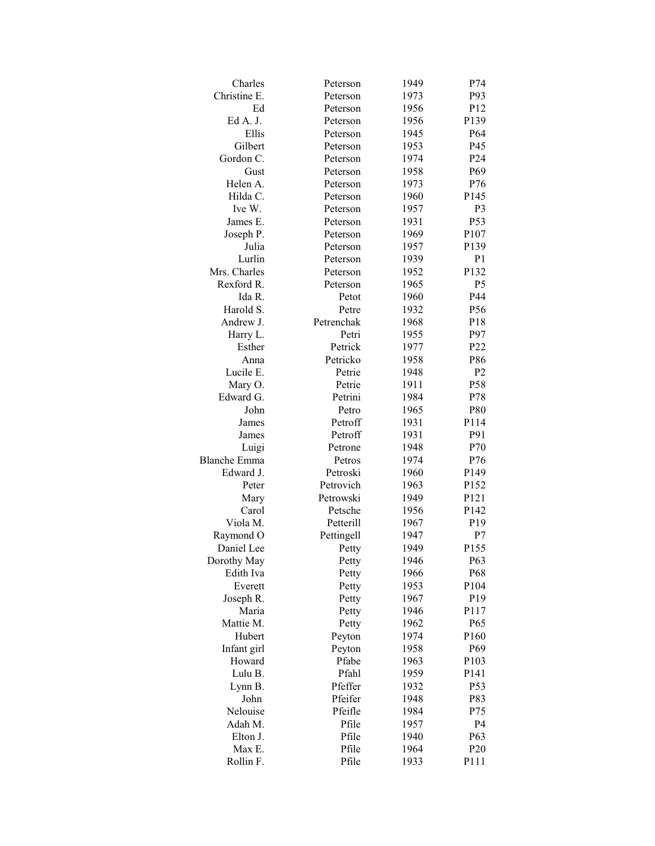| Charles             | Peterson   | 1949 | P74              |
|---------------------|------------|------|------------------|
| Christine E.        | Peterson   | 1973 | P93              |
| Ed                  | Peterson   | 1956 | P <sub>12</sub>  |
| Ed A. J.            | Peterson   | 1956 | P139             |
| Ellis               | Peterson   | 1945 | P <sub>64</sub>  |
| Gilbert             | Peterson   | 1953 | P <sub>45</sub>  |
| Gordon C.           | Peterson   | 1974 | P <sub>24</sub>  |
| Gust                | Peterson   | 1958 | P <sub>69</sub>  |
| Helen A.            | Peterson   | 1973 | P76              |
| Hilda C.            | Peterson   | 1960 | P145             |
| Ive W.              | Peterson   | 1957 | P <sub>3</sub>   |
| James E.            | Peterson   | 1931 | P53              |
| Joseph P.           | Peterson   | 1969 | P107             |
| Julia               | Peterson   | 1957 | P139             |
| Lurlin              | Peterson   | 1939 | P <sub>1</sub>   |
| Mrs. Charles        | Peterson   | 1952 | P132             |
| Rexford R.          | Peterson   | 1965 | P <sub>5</sub>   |
| Ida R.              | Petot      | 1960 | P44              |
| Harold S.           | Petre      | 1932 | P56              |
| Andrew J.           | Petrenchak | 1968 | P18              |
| Harry L.            | Petri      | 1955 | P97              |
| Esther              | Petrick    | 1977 | P <sub>22</sub>  |
| Anna                | Petricko   | 1958 | P86              |
| Lucile E.           | Petrie     | 1948 | P <sub>2</sub>   |
| Mary O.             | Petrie     | 1911 | P58              |
| Edward G.           | Petrini    | 1984 | P78              |
| John                | Petro      | 1965 | P80              |
| James               | Petroff    | 1931 | P114             |
| James               | Petroff    | 1931 | P91              |
| Luigi               | Petrone    | 1948 | P70              |
| <b>Blanche Emma</b> | Petros     | 1974 | P76              |
| Edward J.           | Petroski   | 1960 | P149             |
| Peter               | Petrovich  | 1963 | P152             |
| Mary                | Petrowski  | 1949 | P <sub>121</sub> |
| Carol               | Petsche    | 1956 | P <sub>142</sub> |
| Viola M.            | Petterill  | 1967 | P <sub>19</sub>  |
| Raymond O           | Pettingell | 1947 | P7               |
| Daniel Lee          | Petty      | 1949 | P155             |
| Dorothy May         | Petty      | 1946 | P63              |
| Edith Iva           | Petty      | 1966 | P68              |
| Everett             | Petty      | 1953 | P104             |
| Joseph R.           | Petty      | 1967 | P <sub>19</sub>  |
| Maria               | Petty      | 1946 | P117             |
| Mattie M.           | Petty      | 1962 | P <sub>65</sub>  |
| Hubert              | Peyton     | 1974 | P160             |
| Infant girl         | Peyton     | 1958 | P69              |
| Howard              | Pfabe      | 1963 | P103             |
| Lulu B.             | Pfahl      | 1959 | P <sub>141</sub> |
| Lynn B.             | Pfeffer    | 1932 | P53              |
| John                | Pfeifer    | 1948 | P83              |
| Nelouise            | Pfeifle    | 1984 | P75              |
| Adah M.             | Pfile      | 1957 | P <sub>4</sub>   |
| Elton J.            | Pfile      | 1940 | P63              |
| Max E.              | Pfile      | 1964 | P <sub>20</sub>  |
| Rollin F.           | Pfile      | 1933 | P111             |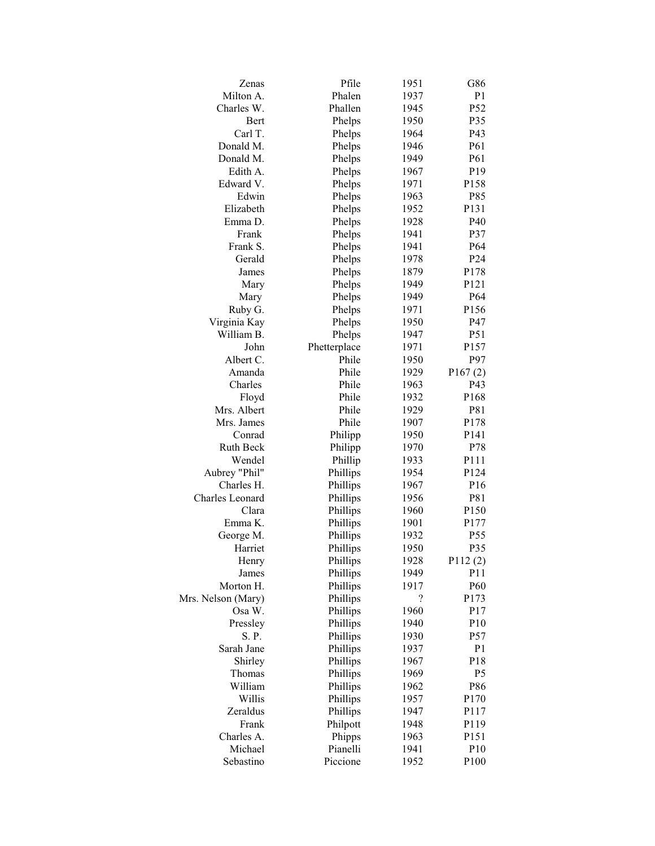| Zenas                  | Pfile        | 1951 | G86              |
|------------------------|--------------|------|------------------|
| Milton A.              | Phalen       | 1937 | P <sub>1</sub>   |
| Charles W.             | Phallen      | 1945 | P52              |
| Bert                   | Phelps       | 1950 | P35              |
| Carl T.                | Phelps       | 1964 | P43              |
| Donald M.              | Phelps       | 1946 | P61              |
| Donald M.              | Phelps       | 1949 | P61              |
| Edith A.               | Phelps       | 1967 | P <sub>19</sub>  |
| Edward V.              | Phelps       | 1971 | P158             |
| Edwin                  | Phelps       | 1963 | P85              |
| Elizabeth              | Phelps       | 1952 | P131             |
| Emma D.                | Phelps       | 1928 | P40              |
| Frank                  | Phelps       | 1941 | P37              |
| Frank S.               | Phelps       | 1941 | P <sub>64</sub>  |
| Gerald                 | Phelps       | 1978 | P24              |
| James                  | Phelps       | 1879 | P178             |
| Mary                   | Phelps       | 1949 | P121             |
| Mary                   | Phelps       | 1949 | P <sub>64</sub>  |
| Ruby G.                | Phelps       | 1971 | P156             |
| Virginia Kay           | Phelps       | 1950 | P47              |
| William B.             | Phelps       | 1947 | P51              |
| John                   | Phetterplace | 1971 | P157             |
| Albert C.              | Phile        | 1950 | P97              |
| Amanda                 | Phile        | 1929 | P167(2)          |
| Charles                | Phile        | 1963 | P43              |
| Floyd                  | Phile        | 1932 | P168             |
| Mrs. Albert            | Phile        | 1929 | P81              |
| Mrs. James             | Phile        | 1907 | P178             |
| Conrad                 | Philipp      | 1950 | P <sub>141</sub> |
| Ruth Beck              | Philipp      | 1970 | P78              |
| Wendel                 | Phillip      | 1933 | P111             |
| Aubrey "Phil"          | Phillips     | 1954 | P124             |
| Charles H.             | Phillips     | 1967 | P <sub>16</sub>  |
| <b>Charles</b> Leonard | Phillips     | 1956 | P81              |
| Clara                  | Phillips     | 1960 | P150             |
| Emma K.                | Phillips     | 1901 | P177             |
| George M.              | Phillips     | 1932 | P <sub>55</sub>  |
| Harriet                | Phillips     | 1950 | P35              |
| Henry                  | Phillips     | 1928 | P112(2)          |
| James                  | Phillips     | 1949 | P11              |
| Morton H.              | Phillips     | 1917 | P60              |
| Mrs. Nelson (Mary)     | Phillips     | ?    | P173             |
| Osa W.                 | Phillips     | 1960 | P17              |
| Pressley               | Phillips     | 1940 | P10              |
| S. P.                  | Phillips     | 1930 | P57              |
| Sarah Jane             | Phillips     | 1937 | P <sub>1</sub>   |
| Shirley                | Phillips     | 1967 | P18              |
| Thomas                 | Phillips     | 1969 | P <sub>5</sub>   |
| William                | Phillips     | 1962 | P86              |
| Willis                 | Phillips     | 1957 | P170             |
| Zeraldus               | Phillips     | 1947 | P117             |
| Frank                  | Philpott     | 1948 | P119             |
| Charles A.             | Phipps       | 1963 | P151             |
| Michael                | Pianelli     | 1941 | P10              |
| Sebastino              | Piccione     | 1952 | P100             |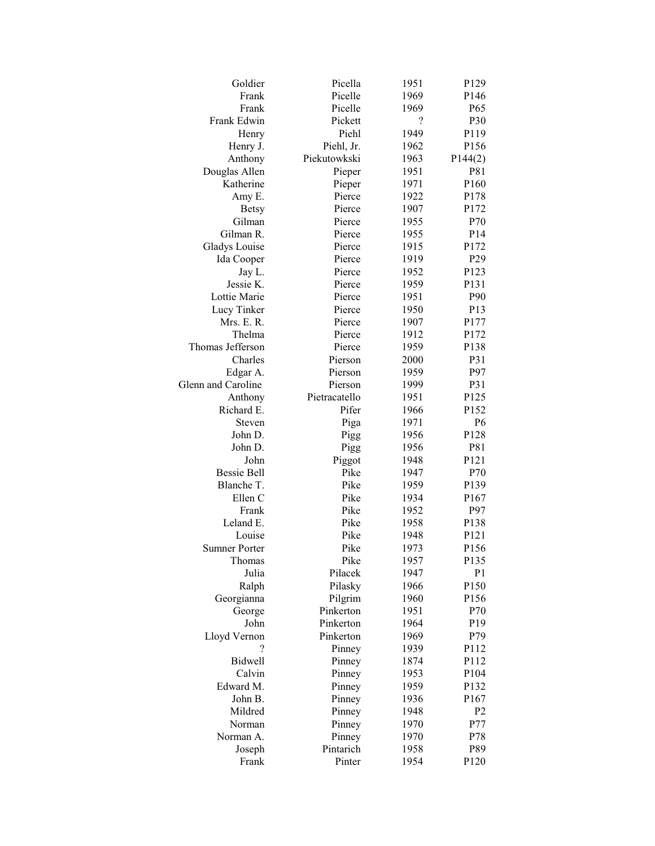| Goldier                  | Picella       | 1951 | P129             |
|--------------------------|---------------|------|------------------|
| Frank                    | Picelle       | 1969 | P146             |
| Frank                    | Picelle       | 1969 | P65              |
| Frank Edwin              | Pickett       | ?    | P30              |
| Henry                    | Piehl         | 1949 | P119             |
| Henry J.                 | Piehl, Jr.    | 1962 | P156             |
| Anthony                  | Piekutowkski  | 1963 | P144(2)          |
| Douglas Allen            | Pieper        | 1951 | P81              |
| Katherine                | Pieper        | 1971 | P160             |
| Amy E.                   | Pierce        | 1922 | P178             |
| <b>Betsy</b>             | Pierce        | 1907 | P172             |
| Gilman                   | Pierce        | 1955 | P70              |
| Gilman R.                | Pierce        | 1955 | P <sub>14</sub>  |
| <b>Gladys Louise</b>     | Pierce        | 1915 | P172             |
| Ida Cooper               | Pierce        | 1919 | P <sub>29</sub>  |
| Jay L.                   | Pierce        | 1952 | P123             |
| Jessie K.                | Pierce        | 1959 | P131             |
| Lottie Marie             | Pierce        | 1951 | P90              |
| Lucy Tinker              | Pierce        | 1950 | P <sub>13</sub>  |
| Mrs. E. R.               | Pierce        | 1907 | P177             |
| Thelma                   | Pierce        | 1912 | P172             |
| Thomas Jefferson         | Pierce        | 1959 | P138             |
| Charles                  | Pierson       | 2000 | P31              |
| Edgar A.                 | Pierson       | 1959 | P97              |
| Glenn and Caroline       | Pierson       | 1999 | P31              |
| Anthony                  | Pietracatello | 1951 | P125             |
| Richard E.               | Pifer         | 1966 | P152             |
| Steven                   | Piga          | 1971 | P <sub>6</sub>   |
| John D.                  | Pigg          | 1956 | P128             |
| John D.                  | Pigg          | 1956 | P81              |
| John                     | Piggot        | 1948 | P121             |
| <b>Bessie Bell</b>       | Pike          | 1947 | P70              |
| Blanche T.               | Pike          | 1959 | P139             |
| Ellen C                  | Pike          | 1934 | P <sub>167</sub> |
| Frank                    | Pike          | 1952 | P97              |
| Leland E.                | Pike          | 1958 | P138             |
| Louise                   | Pike          | 1948 | P <sub>121</sub> |
| <b>Sumner Porter</b>     | Pike          | 1973 | P156             |
| Thomas                   | Pike          | 1957 | P135             |
| Julia                    | Pilacek       | 1947 | P <sub>1</sub>   |
| Ralph                    | Pilasky       | 1966 | P150             |
| Georgianna               | Pilgrim       | 1960 | P156             |
| George                   | Pinkerton     | 1951 | P70              |
| John                     | Pinkerton     | 1964 | P19              |
| Lloyd Vernon             | Pinkerton     | 1969 | P79              |
| $\overline{\mathcal{C}}$ | Pinney        | 1939 | P112             |
| Bidwell                  | Pinney        | 1874 | P112             |
| Calvin                   | Pinney        | 1953 | P104             |
| Edward M.                | Pinney        | 1959 | P132             |
| John B.                  | Pinney        | 1936 | P167             |
| Mildred                  | Pinney        | 1948 | P <sub>2</sub>   |
| Norman                   | Pinney        | 1970 | P77              |
| Norman A.                | Pinney        | 1970 | P78              |
| Joseph                   | Pintarich     | 1958 | P89              |
| Frank                    | Pinter        | 1954 | P120             |
|                          |               |      |                  |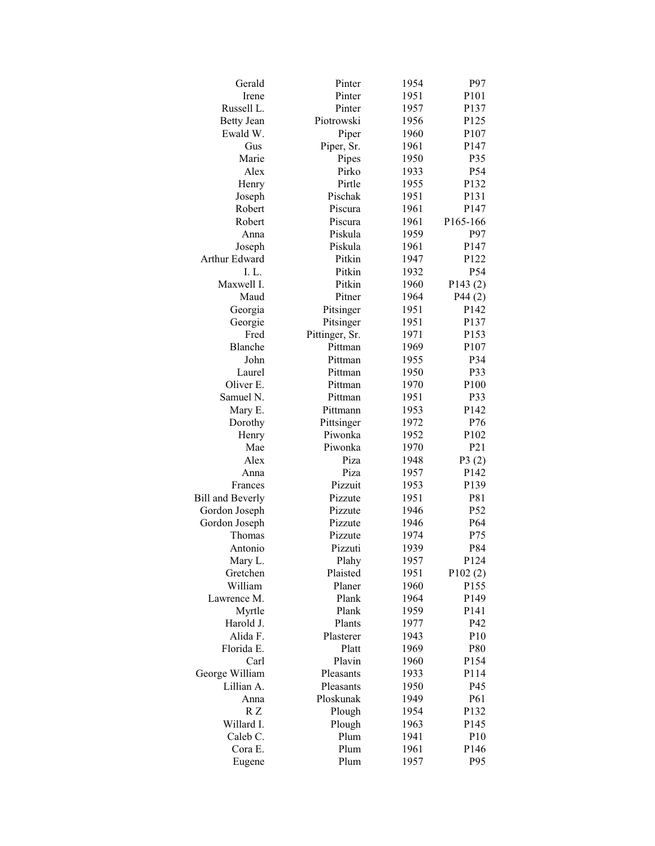| Gerald                  | Pinter         | 1954 | P97              |
|-------------------------|----------------|------|------------------|
| Irene                   | Pinter         | 1951 | P101             |
| Russell L.              | Pinter         | 1957 | P137             |
| <b>Betty Jean</b>       | Piotrowski     | 1956 | P125             |
| Ewald W.                | Piper          | 1960 | P107             |
| Gus                     | Piper, Sr.     | 1961 | P <sub>147</sub> |
| Marie                   | Pipes          | 1950 | P35              |
| Alex                    | Pirko          | 1933 | P54              |
| Henry                   | Pirtle         | 1955 | P132             |
| Joseph                  | Pischak        | 1951 | P131             |
| Robert                  | Piscura        | 1961 | P <sub>147</sub> |
| Robert                  | Piscura        | 1961 | P165-166         |
| Anna                    | Piskula        | 1959 | P97              |
| Joseph                  | Piskula        | 1961 | P <sub>147</sub> |
| Arthur Edward           | Pitkin         | 1947 | P122             |
| I.L.                    | Pitkin         | 1932 | P54              |
| Maxwell I.              | Pitkin         | 1960 | P143(2)          |
| Maud                    | Pitner         | 1964 | P44(2)           |
| Georgia                 | Pitsinger      | 1951 | P142             |
| Georgie                 | Pitsinger      | 1951 | P137             |
| Fred                    | Pittinger, Sr. | 1971 | P153             |
| Blanche                 | Pittman        | 1969 | P107             |
| John                    | Pittman        | 1955 | P34              |
| Laurel                  | Pittman        | 1950 | P33              |
| Oliver E.               | Pittman        | 1970 | P100             |
| Samuel N.               | Pittman        | 1951 | P33              |
| Mary E.                 | Pittmann       | 1953 | P142             |
| Dorothy                 | Pittsinger     | 1972 | P76              |
| Henry                   | Piwonka        | 1952 | P <sub>102</sub> |
| Mae                     | Piwonka        | 1970 | P <sub>21</sub>  |
| Alex                    | Piza           | 1948 | P3(2)            |
| Anna                    | Piza           | 1957 | P142             |
| Frances                 | Pizzuit        | 1953 | P139             |
| <b>Bill and Beverly</b> | Pizzute        | 1951 | P81              |
| Gordon Joseph           | Pizzute        | 1946 | P52              |
| Gordon Joseph           | Pizzute        | 1946 | P <sub>64</sub>  |
| Thomas                  | Pizzute        | 1974 | P75              |
| Antonio                 | Pizzuti        | 1939 | P84              |
| Mary L.                 | Plahy          | 1957 | P124             |
| Gretchen                | Plaisted       | 1951 | P102(2)          |
| William                 | Planer         | 1960 | P155             |
| Lawrence M.             | Plank          | 1964 | P149             |
| Myrtle                  | Plank          | 1959 | P <sub>141</sub> |
| Harold J.               | Plants         | 1977 | P42              |
| Alida F.                | Plasterer      | 1943 | P10              |
| Florida E.              | Platt          | 1969 | P80              |
| Carl                    | Plavin         | 1960 | P154             |
| George William          | Pleasants      | 1933 | P114             |
| Lillian A.              | Pleasants      | 1950 | P45              |
| Anna                    | Ploskunak      | 1949 | P61              |
| R Z                     | Plough         | 1954 | P132             |
| Willard I.              | Plough         | 1963 | P145             |
| Caleb C.                | Plum           | 1941 | P10              |
| Cora E.                 | Plum           | 1961 | P146             |
| Eugene                  | Plum           | 1957 | P95              |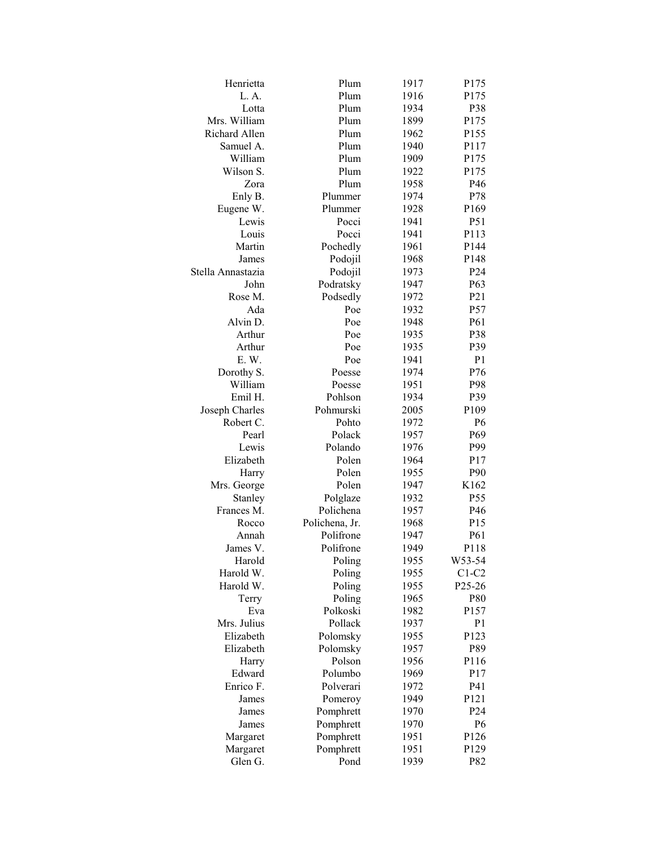| Henrietta         | Plum           | 1917 | P175                |
|-------------------|----------------|------|---------------------|
| L.A.              | Plum           | 1916 | P175                |
| Lotta             | Plum           | 1934 | P38                 |
| Mrs. William      | Plum           | 1899 | P175                |
| Richard Allen     | Plum           | 1962 | P155                |
| Samuel A.         | Plum           | 1940 | P117                |
| William           | Plum           | 1909 | P175                |
| Wilson S.         | Plum           | 1922 | P175                |
| Zora              | Plum           | 1958 | P46                 |
| Enly B.           | Plummer        | 1974 | P78                 |
| Eugene W.         | Plummer        | 1928 | P169                |
| Lewis             | Pocci          | 1941 | P51                 |
| Louis             | Pocci          | 1941 | P113                |
| Martin            | Pochedly       | 1961 | P144                |
| James             | Podojil        | 1968 | P148                |
| Stella Annastazia | Podojil        | 1973 | P24                 |
| John              | Podratsky      | 1947 | P63                 |
| Rose M.           | Podsedly       | 1972 | P <sub>21</sub>     |
| Ada               | Poe            | 1932 | P57                 |
| Alvin D.          | Poe            | 1948 | P61                 |
| Arthur            | Poe            | 1935 | P38                 |
| Arthur            | Poe            | 1935 | P39                 |
| E. W.             | Poe            | 1941 | P <sub>1</sub>      |
| Dorothy S.        | Poesse         | 1974 | P76                 |
| William           | Poesse         | 1951 | P98                 |
| Emil H.           | Pohlson        | 1934 | P39                 |
| Joseph Charles    | Pohmurski      | 2005 | P109                |
| Robert C.         | Pohto          | 1972 | P <sub>6</sub>      |
| Pearl             | Polack         | 1957 | P <sub>69</sub>     |
| Lewis             | Polando        | 1976 | P99                 |
| Elizabeth         | Polen          | 1964 | P17                 |
| Harry             | Polen          | 1955 | P90                 |
| Mrs. George       | Polen          | 1947 | K162                |
| Stanley           | Polglaze       | 1932 | P <sub>55</sub>     |
| Frances M.        | Polichena      | 1957 | P46                 |
| Rocco             | Polichena, Jr. | 1968 | P <sub>15</sub>     |
| Annah             | Polifrone      | 1947 | P61                 |
| James V.          | Polifrone      | 1949 | P118                |
| Harold            | Poling         | 1955 | W53-54              |
| Harold W.         | Poling         | 1955 | $C1-C2$             |
| Harold W.         | Poling         | 1955 | P <sub>25</sub> -26 |
| Terry             | Poling         | 1965 | P80                 |
| Eva               | Polkoski       | 1982 | P157                |
| Mrs. Julius       | Pollack        | 1937 | P <sub>1</sub>      |
| Elizabeth         | Polomsky       | 1955 | P123                |
| Elizabeth         | Polomsky       | 1957 | P89                 |
| Harry             | Polson         | 1956 | P116                |
| Edward            | Polumbo        | 1969 | P17                 |
| Enrico F.         | Polverari      | 1972 | P41                 |
| James             | Pomeroy        | 1949 | P121                |
| James             | Pomphrett      | 1970 | P <sub>24</sub>     |
| James             | Pomphrett      | 1970 | P <sub>6</sub>      |
| Margaret          | Pomphrett      | 1951 | P126                |
| Margaret          | Pomphrett      | 1951 | P129                |
| Glen G.           | Pond           | 1939 | P82                 |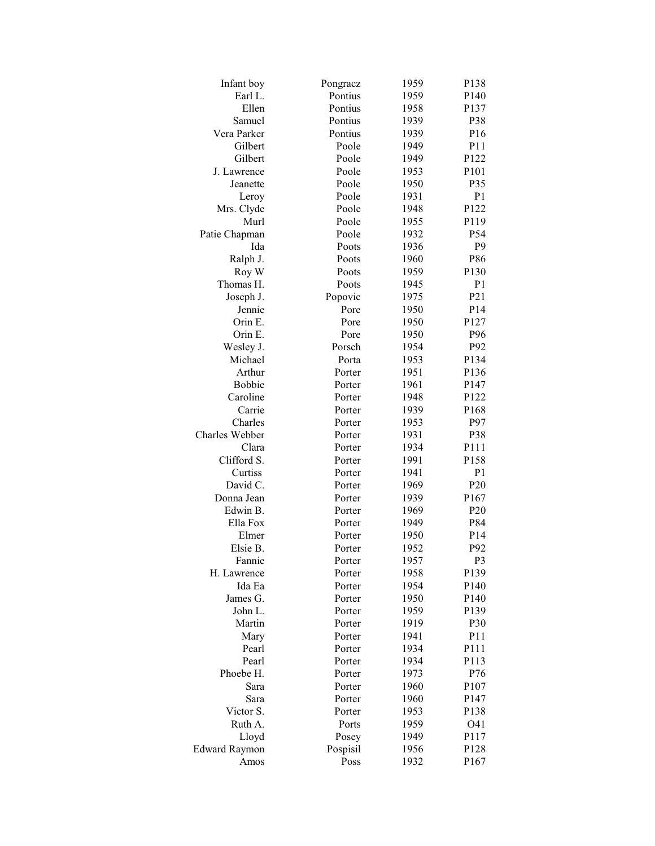| Infant boy           | Pongracz | 1959 | P138              |
|----------------------|----------|------|-------------------|
| Earl L.              | Pontius  | 1959 | P140              |
| Ellen                | Pontius  | 1958 | P137              |
| Samuel               | Pontius  | 1939 | P38               |
| Vera Parker          | Pontius  | 1939 | P <sub>16</sub>   |
| Gilbert              | Poole    | 1949 | P11               |
| Gilbert              | Poole    | 1949 | P122              |
| J. Lawrence          | Poole    | 1953 | P <sub>10</sub> 1 |
| Jeanette             | Poole    | 1950 | P35               |
| Leroy                | Poole    | 1931 | P <sub>1</sub>    |
| Mrs. Clyde           | Poole    | 1948 | P122              |
| Murl                 | Poole    | 1955 | P119              |
| Patie Chapman        | Poole    | 1932 | P54               |
| Ida                  | Poots    | 1936 | P <sub>9</sub>    |
| Ralph J.             | Poots    | 1960 | P86               |
| Roy W                | Poots    | 1959 | P130              |
| Thomas H.            | Poots    | 1945 | P <sub>1</sub>    |
| Joseph J.            | Popovic  | 1975 | P21               |
| Jennie               | Pore     | 1950 | P14               |
| Orin E.              | Pore     | 1950 | P127              |
| Orin E.              | Pore     | 1950 | P96               |
| Wesley J.            | Porsch   | 1954 | P92               |
| Michael              | Porta    | 1953 | P134              |
| Arthur               | Porter   | 1951 | P136              |
| Bobbie               | Porter   | 1961 | P <sub>147</sub>  |
| Caroline             | Porter   | 1948 | P122              |
| Carrie               | Porter   | 1939 | P168              |
| Charles              | Porter   | 1953 | P97               |
| Charles Webber       | Porter   | 1931 | P38               |
| Clara                | Porter   | 1934 | P111              |
| Clifford S.          | Porter   | 1991 | P158              |
| Curtiss              | Porter   | 1941 | P <sub>1</sub>    |
| David C.             | Porter   | 1969 | P <sub>20</sub>   |
| Donna Jean           | Porter   | 1939 | P167              |
| Edwin B.             | Porter   | 1969 | P <sub>20</sub>   |
| Ella Fox             | Porter   | 1949 | P84               |
| Elmer                | Porter   | 1950 | P <sub>14</sub>   |
| Elsie B.             | Porter   | 1952 | P92               |
| Fannie               | Porter   | 1957 | P <sub>3</sub>    |
| H. Lawrence          | Porter   | 1958 | P139              |
| Ida Ea               | Porter   | 1954 | P140              |
| James G.             | Porter   | 1950 | P140              |
| John L.              | Porter   | 1959 | P139              |
| Martin               | Porter   | 1919 | P30               |
| Mary                 | Porter   | 1941 | P11               |
| Pearl                | Porter   | 1934 | P111              |
| Pearl                | Porter   | 1934 | P113              |
| Phoebe H.            | Porter   | 1973 | P76               |
| Sara                 | Porter   | 1960 | P107              |
| Sara                 | Porter   | 1960 | P147              |
| Victor S.            | Porter   | 1953 | P138              |
| Ruth A.              | Ports    | 1959 | O41               |
| Lloyd                | Posey    | 1949 | P117              |
| <b>Edward Raymon</b> | Pospisil | 1956 | P128              |
| Amos                 | Poss     | 1932 | P167              |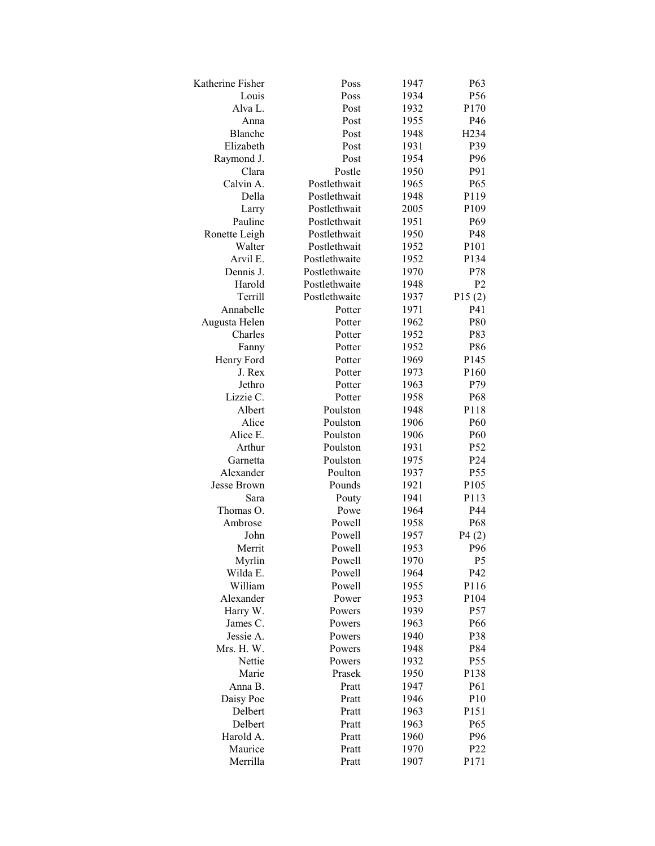| Katherine Fisher     | Poss             | 1947         | P <sub>63</sub>  |
|----------------------|------------------|--------------|------------------|
| Louis                | Poss             | 1934         | P <sub>56</sub>  |
| Alva L.              | Post             | 1932         | P170             |
| Anna                 | Post             | 1955         | P46              |
| Blanche              | Post             | 1948         | H234             |
| Elizabeth            | Post             | 1931         | P39              |
| Raymond J.           | Post             | 1954         | P96              |
| Clara                | Postle           | 1950         | P91              |
| Calvin A.            | Postlethwait     | 1965         | P65              |
| Della                | Postlethwait     | 1948         | P119             |
| Larry                | Postlethwait     | 2005         | P109             |
| Pauline              | Postlethwait     | 1951         | P <sub>69</sub>  |
| Ronette Leigh        | Postlethwait     | 1950         | P48              |
| Walter               | Postlethwait     | 1952         | P101             |
| Arvil E.             | Postlethwaite    | 1952         | P134             |
| Dennis J.            | Postlethwaite    | 1970         | P78              |
| Harold               | Postlethwaite    | 1948         | P <sub>2</sub>   |
| Terrill              | Postlethwaite    | 1937         | P15(2)           |
| Annabelle            | Potter           | 1971         | P41              |
| Augusta Helen        | Potter           | 1962         | P80              |
| Charles              | Potter           | 1952         | P83              |
| Fanny                | Potter           | 1952         | P86              |
| Henry Ford           | Potter           | 1969         | P <sub>145</sub> |
| J. Rex               | Potter           | 1973         | P160             |
| Jethro               | Potter           | 1963         | P79              |
| Lizzie C.            | Potter           | 1958         | P68              |
| Albert               | Poulston         | 1948         | P118             |
| Alice                | Poulston         | 1906         | P <sub>60</sub>  |
| Alice E.             | Poulston         | 1906         | P <sub>60</sub>  |
| Arthur               | Poulston         | 1931         | P <sub>52</sub>  |
| Garnetta             | Poulston         | 1975         | P <sub>24</sub>  |
| Alexander            | Poulton          | 1937         | P <sub>55</sub>  |
| Jesse Brown          | Pounds           | 1921         | P105             |
| Sara                 | Pouty            | 1941         | P113             |
| Thomas O.            | Powe             | 1964         | P44              |
| Ambrose              | Powell           | 1958         | P68              |
| John                 | Powell           | 1957         | P4(2)            |
| Merrit               | Powell           | 1953         | P96              |
| Myrlin               | Powell           | 1970         | P <sub>5</sub>   |
| Wilda E.             | Powell           | 1964         | P42              |
| William              | Powell           | 1955         | P116             |
|                      | Power            |              | P104             |
| Alexander            |                  | 1953         | P57              |
| Harry W.<br>James C. | Powers           | 1939<br>1963 | P66              |
| Jessie A.            | Powers<br>Powers |              |                  |
| Mrs. H. W.           | Powers           | 1940         | P38<br>P84       |
|                      | Powers           | 1948         | P55              |
| Nettie<br>Marie      |                  | 1932         |                  |
|                      | Prasek           | 1950         | P138<br>P61      |
| Anna B.              | Pratt            | 1947         |                  |
| Daisy Poe            | Pratt            | 1946         | P10              |
| Delbert              | Pratt            | 1963         | P151             |
| Delbert              | Pratt            | 1963         | P <sub>65</sub>  |
| Harold A.            | Pratt            | 1960         | P96              |
| Maurice              | Pratt            | 1970         | P <sub>22</sub>  |
| Merrilla             | Pratt            | 1907         | P171             |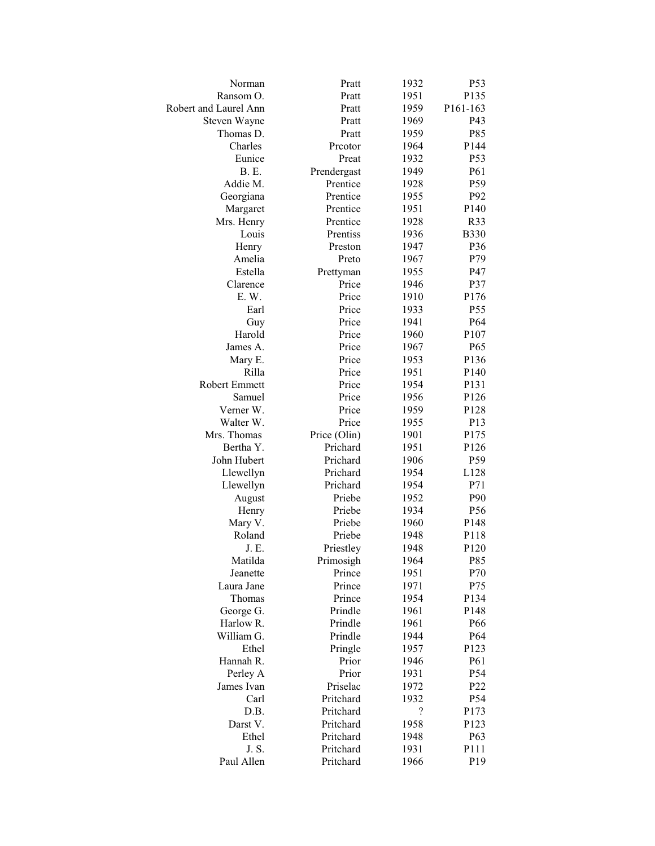| Norman                 | Pratt            | 1932         | P53              |
|------------------------|------------------|--------------|------------------|
| Ransom O.              | Pratt            | 1951         | P135             |
| Robert and Laurel Ann  | Pratt            | 1959         | P161-163         |
| Steven Wayne           | Pratt            | 1969         | P43              |
| Thomas D.              | Pratt            | 1959         | P85              |
| Charles                | Prcotor          | 1964         | P144             |
| Eunice                 | Preat            | 1932         | P <sub>53</sub>  |
| <b>B.</b> E.           | Prendergast      | 1949         | P61              |
| Addie M.               | Prentice         | 1928         | P59              |
| Georgiana              | Prentice         | 1955         | P92              |
| Margaret               | Prentice         | 1951         | P <sub>140</sub> |
| Mrs. Henry             | Prentice         | 1928         | R33              |
| Louis                  | Prentiss         | 1936         | <b>B330</b>      |
| Henry                  | Preston          | 1947         | P36              |
| Amelia                 | Preto            | 1967         | P79              |
| Estella                | Prettyman        | 1955         | P47              |
| Clarence               | Price            | 1946         | P37              |
| E. W.                  | Price            | 1910         | P176             |
| Earl                   | Price            | 1933         | P55              |
| Guy                    | Price            | 1941         | P64              |
| Harold                 | Price            | 1960         | P107             |
| James A.               | Price            | 1967         | P65              |
| Mary E.                | Price            | 1953         | P136             |
| Rilla                  | Price            | 1951         | P140             |
| Robert Emmett          | Price            | 1954         | P131             |
| Samuel                 | Price            | 1956         | P126             |
| Verner W.              | Price            | 1959         | P128             |
| Walter W.              | Price            | 1955         | P13              |
| Mrs. Thomas            | Price (Olin)     | 1901         | P175             |
| Bertha Y.              | Prichard         | 1951         | P126             |
| John Hubert            | Prichard         | 1906         | P59              |
|                        | Prichard         | 1954         | L128             |
| Llewellyn<br>Llewellyn | Prichard         | 1954         | P71              |
|                        |                  |              | P90              |
| August                 | Priebe<br>Priebe | 1952<br>1934 | P <sub>56</sub>  |
| Henry                  |                  |              |                  |
| Mary V.                | Priebe           | 1960<br>1948 | P148<br>P118     |
| Roland                 | Priebe           |              |                  |
| J. E.                  | Priestley        | 1948         | P120             |
| Matilda                | Primosigh        | 1964         | P85              |
| Jeanette<br>Laura Jane | Prince<br>Prince | 1951         | P70              |
|                        |                  | 1971         | P75              |
| Thomas                 | Prince           | 1954         | P134             |
| George G.              | Prindle          | 1961         | P148             |
| Harlow R.              | Prindle          | 1961         | P66              |
| William G.             | Prindle          | 1944         | P64              |
| Ethel                  | Pringle          | 1957         | P123             |
| Hannah R.              | Prior            | 1946         | P61              |
| Perley A               | Prior            | 1931         | P54              |
| James Ivan             | Priselac         | 1972         | P22              |
| Carl                   | Pritchard        | 1932         | P54              |
| D.B.                   | Pritchard        | $\ddot{?}$   | P173             |
| Darst V.               | Pritchard        | 1958         | P123             |
| Ethel                  | Pritchard        | 1948         | P <sub>6</sub> 3 |
| J. S.                  | Pritchard        | 1931         | P111             |
| Paul Allen             | Pritchard        | 1966         | P19              |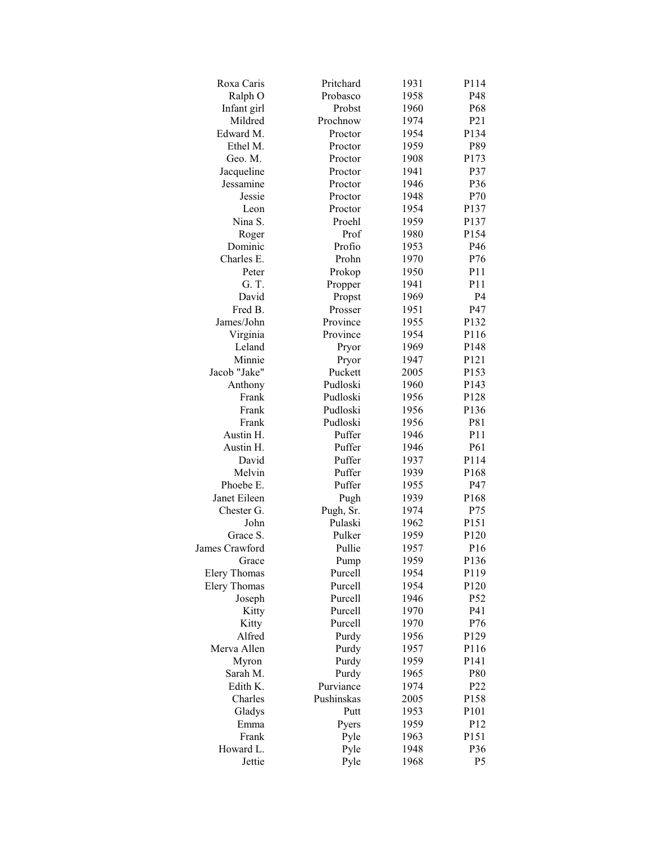| Roxa Caris          | Pritchard  | 1931 | P114             |
|---------------------|------------|------|------------------|
| Ralph O             | Probasco   | 1958 | P48              |
| Infant girl         | Probst     | 1960 | P68              |
| Mildred             | Prochnow   | 1974 | P21              |
| Edward M.           | Proctor    | 1954 | P134             |
| Ethel M.            | Proctor    | 1959 | P89              |
| Geo. M.             | Proctor    | 1908 | P173             |
| Jacqueline          | Proctor    | 1941 | P37              |
| Jessamine           | Proctor    | 1946 | P36              |
| Jessie              | Proctor    | 1948 | P70              |
| Leon                | Proctor    | 1954 | P137             |
| Nina S.             | Proehl     | 1959 | P137             |
| Roger               | Prof       | 1980 | P154             |
| Dominic             | Profio     | 1953 | P46              |
| Charles E.          | Prohn      | 1970 | P76              |
| Peter               | Prokop     | 1950 | P11              |
| G. T.               | Propper    | 1941 | P11              |
| David               | Propst     | 1969 | P <sub>4</sub>   |
| Fred B.             | Prosser    | 1951 | P47              |
| James/John          | Province   | 1955 | P132             |
| Virginia            | Province   | 1954 | P116             |
| Leland              | Pryor      | 1969 | P148             |
| Minnie              | Pryor      | 1947 | P121             |
| Jacob "Jake"        | Puckett    | 2005 | P153             |
| Anthony             | Pudloski   | 1960 | P143             |
| Frank               | Pudloski   | 1956 | P128             |
| Frank               | Pudloski   | 1956 | P136             |
| Frank               | Pudloski   | 1956 | P81              |
| Austin H.           | Puffer     | 1946 | P <sub>11</sub>  |
| Austin H.           | Puffer     | 1946 | P61              |
| David               | Puffer     | 1937 | P114             |
| Melvin              | Puffer     | 1939 | P <sub>168</sub> |
| Phoebe E.           | Puffer     | 1955 | P47              |
| Janet Eileen        | Pugh       | 1939 | P168             |
| Chester G.          | Pugh, Sr.  | 1974 | P75              |
| John                | Pulaski    | 1962 | P151             |
| Grace S.            | Pulker     | 1959 | P <sub>120</sub> |
| James Crawford      | Pullie     | 1957 | P <sub>16</sub>  |
| Grace               | Pump       | 1959 | P136             |
| <b>Elery Thomas</b> | Purcell    | 1954 | P119             |
| <b>Elery Thomas</b> | Purcell    | 1954 | P120             |
| Joseph              | Purcell    | 1946 | P <sub>52</sub>  |
| Kitty               | Purcell    | 1970 | P41              |
| Kitty               | Purcell    | 1970 | P76              |
| Alfred              | Purdy      | 1956 | P129             |
| Merva Allen         | Purdy      | 1957 | P116             |
| Myron               | Purdy      | 1959 | P141             |
| Sarah M.            | Purdy      | 1965 | P80              |
| Edith K.            | Purviance  | 1974 | P22              |
| Charles             | Pushinskas | 2005 | P158             |
| Gladys              | Putt       | 1953 | P101             |
| Emma                | Pyers      | 1959 | P12              |
| Frank               | Pyle       | 1963 | P151             |
| Howard L.           | Pyle       | 1948 | P36              |
| Jettie              | Pyle       | 1968 | P <sub>5</sub>   |
|                     |            |      |                  |